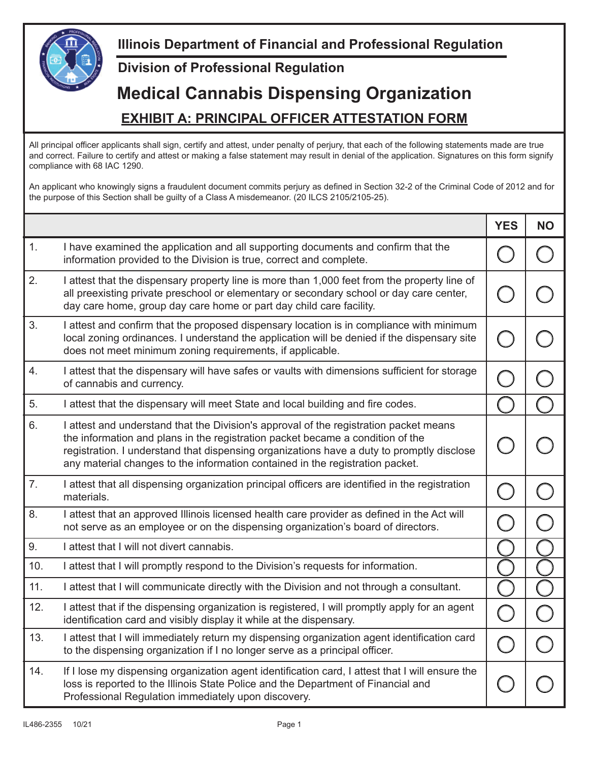

## **Division of Professional Regulation**

## **Medical Cannabis Dispensing Organization EXHIBIT A: PRINCIPAL OFFICER ATTESTATION FORM**

All principal officer applicants shall sign, certify and attest, under penalty of perjury, that each of the following statements made are true and correct. Failure to certify and attest or making a false statement may result in denial of the application. Signatures on this form signify compliance with 68 IAC 1290.

An applicant who knowingly signs a fraudulent document commits perjury as defined in Section 32-2 of the Criminal Code of 2012 and for the purpose of this Section shall be guilty of a Class A misdemeanor. (20 ILCS 2105/2105-25).

|     |                                                                                                                                                                                                                                                                                                                                                       | <b>YES</b> | <b>NO</b> |
|-----|-------------------------------------------------------------------------------------------------------------------------------------------------------------------------------------------------------------------------------------------------------------------------------------------------------------------------------------------------------|------------|-----------|
| 1.  | I have examined the application and all supporting documents and confirm that the<br>information provided to the Division is true, correct and complete.                                                                                                                                                                                              |            |           |
| 2.  | I attest that the dispensary property line is more than 1,000 feet from the property line of<br>all preexisting private preschool or elementary or secondary school or day care center,<br>day care home, group day care home or part day child care facility.                                                                                        |            |           |
| 3.  | I attest and confirm that the proposed dispensary location is in compliance with minimum<br>local zoning ordinances. I understand the application will be denied if the dispensary site<br>does not meet minimum zoning requirements, if applicable.                                                                                                  |            |           |
| 4.  | I attest that the dispensary will have safes or vaults with dimensions sufficient for storage<br>of cannabis and currency.                                                                                                                                                                                                                            |            |           |
| 5.  | I attest that the dispensary will meet State and local building and fire codes.                                                                                                                                                                                                                                                                       |            |           |
| 6.  | I attest and understand that the Division's approval of the registration packet means<br>the information and plans in the registration packet became a condition of the<br>registration. I understand that dispensing organizations have a duty to promptly disclose<br>any material changes to the information contained in the registration packet. |            |           |
| 7.  | I attest that all dispensing organization principal officers are identified in the registration<br>materials.                                                                                                                                                                                                                                         |            |           |
| 8.  | I attest that an approved Illinois licensed health care provider as defined in the Act will<br>not serve as an employee or on the dispensing organization's board of directors.                                                                                                                                                                       |            |           |
| 9.  | I attest that I will not divert cannabis.                                                                                                                                                                                                                                                                                                             |            |           |
| 10. | I attest that I will promptly respond to the Division's requests for information.                                                                                                                                                                                                                                                                     |            |           |
| 11. | I attest that I will communicate directly with the Division and not through a consultant.                                                                                                                                                                                                                                                             |            |           |
| 12. | I attest that if the dispensing organization is registered, I will promptly apply for an agent<br>identification card and visibly display it while at the dispensary.                                                                                                                                                                                 |            |           |
| 13. | I attest that I will immediately return my dispensing organization agent identification card<br>to the dispensing organization if I no longer serve as a principal officer.                                                                                                                                                                           |            |           |
| 14. | If I lose my dispensing organization agent identification card, I attest that I will ensure the<br>loss is reported to the Illinois State Police and the Department of Financial and<br>Professional Regulation immediately upon discovery.                                                                                                           |            |           |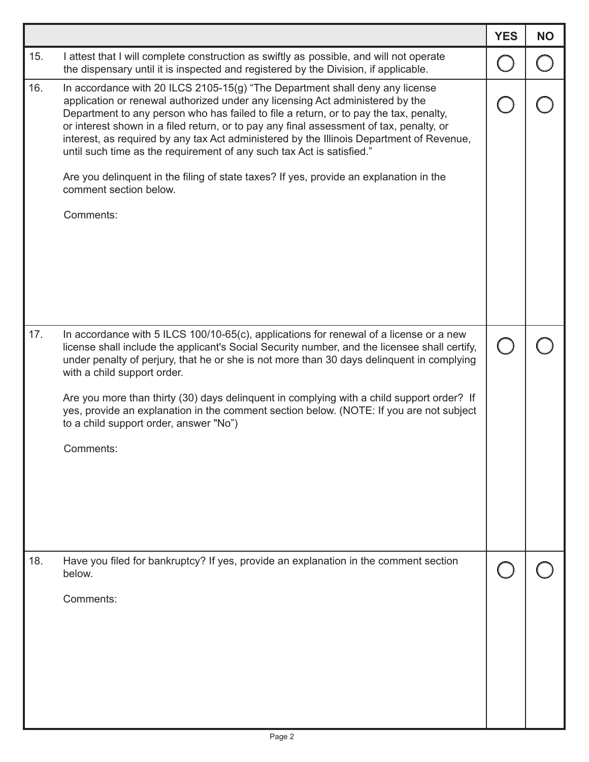|     |                                                                                                                                                                                                                                                                                                                                                                                                                                                                                                                                                                                                                                                         | <b>YES</b> | <b>NO</b> |
|-----|---------------------------------------------------------------------------------------------------------------------------------------------------------------------------------------------------------------------------------------------------------------------------------------------------------------------------------------------------------------------------------------------------------------------------------------------------------------------------------------------------------------------------------------------------------------------------------------------------------------------------------------------------------|------------|-----------|
| 15. | I attest that I will complete construction as swiftly as possible, and will not operate<br>the dispensary until it is inspected and registered by the Division, if applicable.                                                                                                                                                                                                                                                                                                                                                                                                                                                                          |            |           |
| 16. | In accordance with 20 ILCS 2105-15(g) "The Department shall deny any license<br>application or renewal authorized under any licensing Act administered by the<br>Department to any person who has failed to file a return, or to pay the tax, penalty,<br>or interest shown in a filed return, or to pay any final assessment of tax, penalty, or<br>interest, as required by any tax Act administered by the Illinois Department of Revenue,<br>until such time as the requirement of any such tax Act is satisfied."<br>Are you delinguent in the filing of state taxes? If yes, provide an explanation in the<br>comment section below.<br>Comments: |            |           |
| 17. | In accordance with 5 ILCS 100/10-65(c), applications for renewal of a license or a new<br>license shall include the applicant's Social Security number, and the licensee shall certify,<br>under penalty of perjury, that he or she is not more than 30 days delinquent in complying<br>with a child support order.<br>Are you more than thirty (30) days delinguent in complying with a child support order? If<br>yes, provide an explanation in the comment section below. (NOTE: If you are not subject<br>to a child support order, answer "No")<br>Comments:                                                                                      |            |           |
| 18. | Have you filed for bankruptcy? If yes, provide an explanation in the comment section<br>below.<br>Comments:                                                                                                                                                                                                                                                                                                                                                                                                                                                                                                                                             |            |           |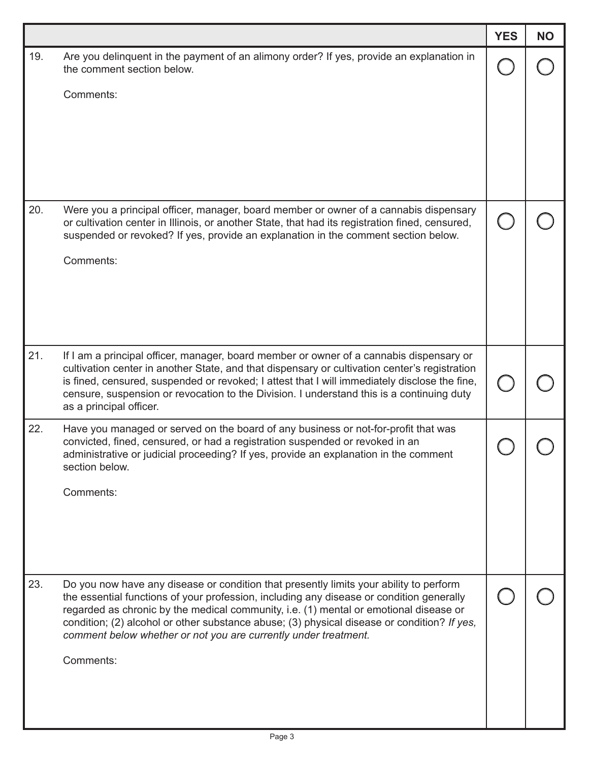|     |                                                                                                                                                                                                                                                                                                                                                                                                                                               | <b>YES</b> | <b>NO</b> |
|-----|-----------------------------------------------------------------------------------------------------------------------------------------------------------------------------------------------------------------------------------------------------------------------------------------------------------------------------------------------------------------------------------------------------------------------------------------------|------------|-----------|
| 19. | Are you delinquent in the payment of an alimony order? If yes, provide an explanation in<br>the comment section below.                                                                                                                                                                                                                                                                                                                        |            |           |
|     | Comments:                                                                                                                                                                                                                                                                                                                                                                                                                                     |            |           |
|     |                                                                                                                                                                                                                                                                                                                                                                                                                                               |            |           |
|     |                                                                                                                                                                                                                                                                                                                                                                                                                                               |            |           |
|     |                                                                                                                                                                                                                                                                                                                                                                                                                                               |            |           |
|     |                                                                                                                                                                                                                                                                                                                                                                                                                                               |            |           |
| 20. | Were you a principal officer, manager, board member or owner of a cannabis dispensary<br>or cultivation center in Illinois, or another State, that had its registration fined, censured,<br>suspended or revoked? If yes, provide an explanation in the comment section below.                                                                                                                                                                |            |           |
|     | Comments:                                                                                                                                                                                                                                                                                                                                                                                                                                     |            |           |
|     |                                                                                                                                                                                                                                                                                                                                                                                                                                               |            |           |
|     |                                                                                                                                                                                                                                                                                                                                                                                                                                               |            |           |
| 21. | If I am a principal officer, manager, board member or owner of a cannabis dispensary or                                                                                                                                                                                                                                                                                                                                                       |            |           |
|     | cultivation center in another State, and that dispensary or cultivation center's registration<br>is fined, censured, suspended or revoked; I attest that I will immediately disclose the fine,<br>censure, suspension or revocation to the Division. I understand this is a continuing duty<br>as a principal officer.                                                                                                                        |            |           |
| 22. | Have you managed or served on the board of any business or not-for-profit that was<br>convicted, fined, censured, or had a registration suspended or revoked in an<br>administrative or judicial proceeding? If yes, provide an explanation in the comment<br>section below.                                                                                                                                                                  |            |           |
|     | Comments:                                                                                                                                                                                                                                                                                                                                                                                                                                     |            |           |
|     |                                                                                                                                                                                                                                                                                                                                                                                                                                               |            |           |
|     |                                                                                                                                                                                                                                                                                                                                                                                                                                               |            |           |
|     |                                                                                                                                                                                                                                                                                                                                                                                                                                               |            |           |
| 23. | Do you now have any disease or condition that presently limits your ability to perform<br>the essential functions of your profession, including any disease or condition generally<br>regarded as chronic by the medical community, i.e. (1) mental or emotional disease or<br>condition; (2) alcohol or other substance abuse; (3) physical disease or condition? If yes,<br>comment below whether or not you are currently under treatment. |            |           |
|     | Comments:                                                                                                                                                                                                                                                                                                                                                                                                                                     |            |           |
|     |                                                                                                                                                                                                                                                                                                                                                                                                                                               |            |           |
|     |                                                                                                                                                                                                                                                                                                                                                                                                                                               |            |           |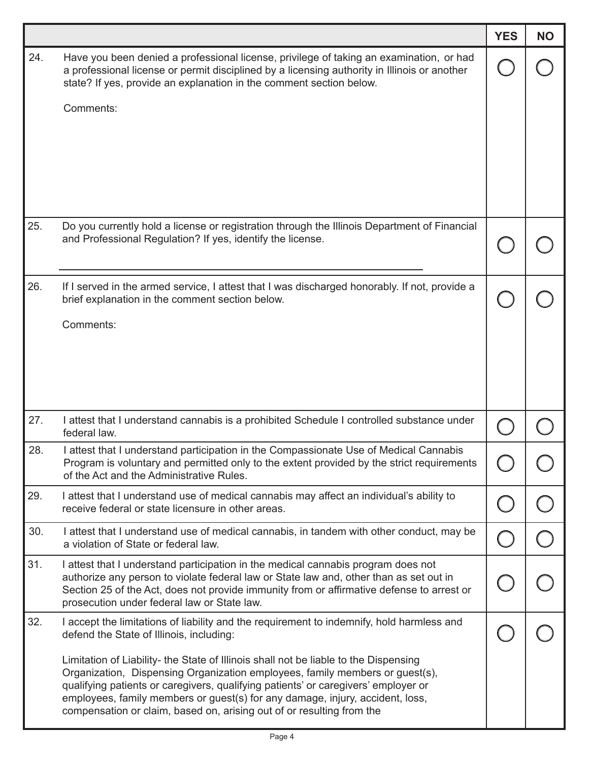|     |                                                                                                                                                                                                                                                                | <b>YES</b> | <b>NO</b> |
|-----|----------------------------------------------------------------------------------------------------------------------------------------------------------------------------------------------------------------------------------------------------------------|------------|-----------|
| 24. | Have you been denied a professional license, privilege of taking an examination, or had<br>a professional license or permit disciplined by a licensing authority in Illinois or another<br>state? If yes, provide an explanation in the comment section below. |            |           |
|     | Comments:                                                                                                                                                                                                                                                      |            |           |
|     |                                                                                                                                                                                                                                                                |            |           |
|     |                                                                                                                                                                                                                                                                |            |           |
|     |                                                                                                                                                                                                                                                                |            |           |
|     |                                                                                                                                                                                                                                                                |            |           |
| 25. | Do you currently hold a license or registration through the Illinois Department of Financial                                                                                                                                                                   |            |           |
|     | and Professional Regulation? If yes, identify the license.                                                                                                                                                                                                     |            |           |
|     |                                                                                                                                                                                                                                                                |            |           |
| 26. | If I served in the armed service, I attest that I was discharged honorably. If not, provide a<br>brief explanation in the comment section below.                                                                                                               |            |           |
|     | Comments:                                                                                                                                                                                                                                                      |            |           |
|     |                                                                                                                                                                                                                                                                |            |           |
|     |                                                                                                                                                                                                                                                                |            |           |
|     |                                                                                                                                                                                                                                                                |            |           |
| 27. | I attest that I understand cannabis is a prohibited Schedule I controlled substance under<br>federal law.                                                                                                                                                      |            |           |
| 28. | I attest that I understand participation in the Compassionate Use of Medical Cannabis                                                                                                                                                                          |            |           |
|     | Program is voluntary and permitted only to the extent provided by the strict requirements<br>of the Act and the Administrative Rules.                                                                                                                          |            |           |
| 29. | I attest that I understand use of medical cannabis may affect an individual's ability to<br>receive federal or state licensure in other areas.                                                                                                                 |            |           |
| 30. | I attest that I understand use of medical cannabis, in tandem with other conduct, may be                                                                                                                                                                       |            |           |
|     | a violation of State or federal law.                                                                                                                                                                                                                           |            |           |
| 31. | I attest that I understand participation in the medical cannabis program does not<br>authorize any person to violate federal law or State law and, other than as set out in                                                                                    |            |           |
|     | Section 25 of the Act, does not provide immunity from or affirmative defense to arrest or<br>prosecution under federal law or State law.                                                                                                                       |            |           |
| 32. | I accept the limitations of liability and the requirement to indemnify, hold harmless and                                                                                                                                                                      |            |           |
|     | defend the State of Illinois, including:                                                                                                                                                                                                                       |            |           |
|     | Limitation of Liability- the State of Illinois shall not be liable to the Dispensing<br>Organization, Dispensing Organization employees, family members or guest(s),                                                                                           |            |           |
|     | qualifying patients or caregivers, qualifying patients' or caregivers' employer or<br>employees, family members or guest(s) for any damage, injury, accident, loss,                                                                                            |            |           |
|     | compensation or claim, based on, arising out of or resulting from the                                                                                                                                                                                          |            |           |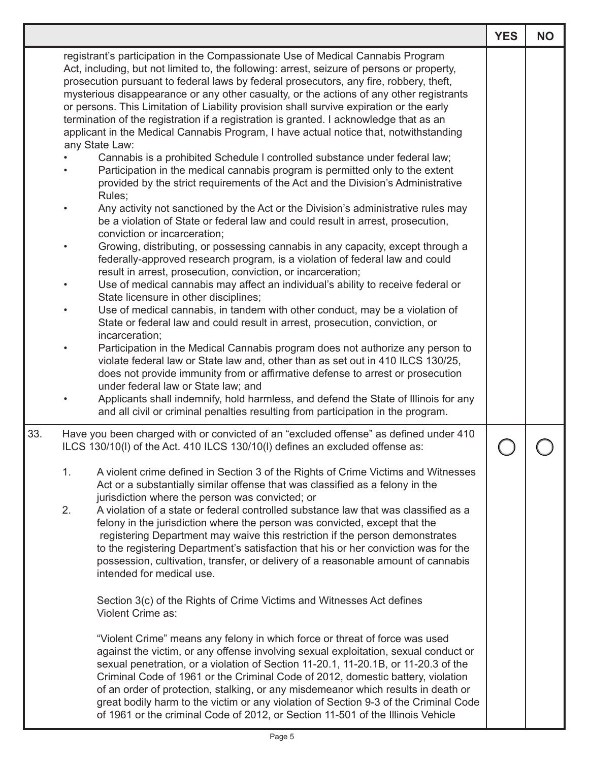|     |           |                                                                                                                                                                                                                                                                                                                                                                                                                                                                                                                                                                                                                                                                                     | <b>YES</b> | <b>NO</b> |
|-----|-----------|-------------------------------------------------------------------------------------------------------------------------------------------------------------------------------------------------------------------------------------------------------------------------------------------------------------------------------------------------------------------------------------------------------------------------------------------------------------------------------------------------------------------------------------------------------------------------------------------------------------------------------------------------------------------------------------|------------|-----------|
|     |           | registrant's participation in the Compassionate Use of Medical Cannabis Program<br>Act, including, but not limited to, the following: arrest, seizure of persons or property,<br>prosecution pursuant to federal laws by federal prosecutors, any fire, robbery, theft,<br>mysterious disappearance or any other casualty, or the actions of any other registrants<br>or persons. This Limitation of Liability provision shall survive expiration or the early<br>termination of the registration if a registration is granted. I acknowledge that as an<br>applicant in the Medical Cannabis Program, I have actual notice that, notwithstanding                                   |            |           |
|     |           | any State Law:<br>Cannabis is a prohibited Schedule I controlled substance under federal law;<br>Participation in the medical cannabis program is permitted only to the extent<br>provided by the strict requirements of the Act and the Division's Administrative<br>Rules;                                                                                                                                                                                                                                                                                                                                                                                                        |            |           |
|     |           | Any activity not sanctioned by the Act or the Division's administrative rules may<br>be a violation of State or federal law and could result in arrest, prosecution,<br>conviction or incarceration;                                                                                                                                                                                                                                                                                                                                                                                                                                                                                |            |           |
|     | $\bullet$ | Growing, distributing, or possessing cannabis in any capacity, except through a<br>federally-approved research program, is a violation of federal law and could<br>result in arrest, prosecution, conviction, or incarceration;<br>Use of medical cannabis may affect an individual's ability to receive federal or                                                                                                                                                                                                                                                                                                                                                                 |            |           |
|     |           | State licensure in other disciplines;<br>Use of medical cannabis, in tandem with other conduct, may be a violation of<br>State or federal law and could result in arrest, prosecution, conviction, or<br>incarceration;                                                                                                                                                                                                                                                                                                                                                                                                                                                             |            |           |
|     | $\bullet$ | Participation in the Medical Cannabis program does not authorize any person to<br>violate federal law or State law and, other than as set out in 410 ILCS 130/25,<br>does not provide immunity from or affirmative defense to arrest or prosecution<br>under federal law or State law; and                                                                                                                                                                                                                                                                                                                                                                                          |            |           |
|     |           | Applicants shall indemnify, hold harmless, and defend the State of Illinois for any<br>and all civil or criminal penalties resulting from participation in the program.                                                                                                                                                                                                                                                                                                                                                                                                                                                                                                             |            |           |
| 33. |           | Have you been charged with or convicted of an "excluded offense" as defined under 410<br>ILCS 130/10(I) of the Act. 410 ILCS 130/10(I) defines an excluded offense as:                                                                                                                                                                                                                                                                                                                                                                                                                                                                                                              |            |           |
|     | 1.<br>2.  | A violent crime defined in Section 3 of the Rights of Crime Victims and Witnesses<br>Act or a substantially similar offense that was classified as a felony in the<br>jurisdiction where the person was convicted; or<br>A violation of a state or federal controlled substance law that was classified as a<br>felony in the jurisdiction where the person was convicted, except that the<br>registering Department may waive this restriction if the person demonstrates<br>to the registering Department's satisfaction that his or her conviction was for the<br>possession, cultivation, transfer, or delivery of a reasonable amount of cannabis<br>intended for medical use. |            |           |
|     |           | Section 3(c) of the Rights of Crime Victims and Witnesses Act defines<br>Violent Crime as:                                                                                                                                                                                                                                                                                                                                                                                                                                                                                                                                                                                          |            |           |
|     |           | "Violent Crime" means any felony in which force or threat of force was used<br>against the victim, or any offense involving sexual exploitation, sexual conduct or<br>sexual penetration, or a violation of Section 11-20.1, 11-20.1B, or 11-20.3 of the<br>Criminal Code of 1961 or the Criminal Code of 2012, domestic battery, violation<br>of an order of protection, stalking, or any misdemeanor which results in death or<br>great bodily harm to the victim or any violation of Section 9-3 of the Criminal Code<br>of 1961 or the criminal Code of 2012, or Section 11-501 of the Illinois Vehicle                                                                         |            |           |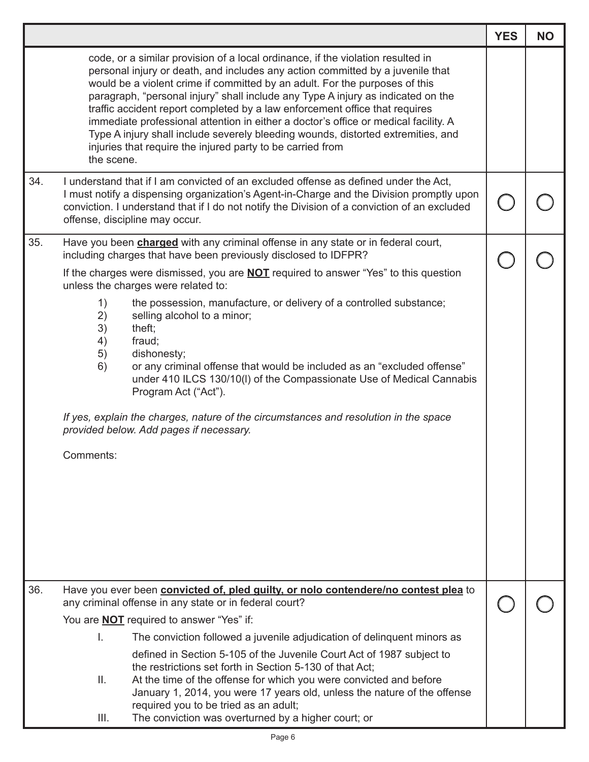|     |                                                                                                                                                                                                                                                                                                                                                                                                                                                                                                                                                                                                                                                                                                                                                                                                            | <b>YES</b> | <b>NO</b> |
|-----|------------------------------------------------------------------------------------------------------------------------------------------------------------------------------------------------------------------------------------------------------------------------------------------------------------------------------------------------------------------------------------------------------------------------------------------------------------------------------------------------------------------------------------------------------------------------------------------------------------------------------------------------------------------------------------------------------------------------------------------------------------------------------------------------------------|------------|-----------|
|     | code, or a similar provision of a local ordinance, if the violation resulted in<br>personal injury or death, and includes any action committed by a juvenile that<br>would be a violent crime if committed by an adult. For the purposes of this<br>paragraph, "personal injury" shall include any Type A injury as indicated on the<br>traffic accident report completed by a law enforcement office that requires<br>immediate professional attention in either a doctor's office or medical facility. A<br>Type A injury shall include severely bleeding wounds, distorted extremities, and<br>injuries that require the injured party to be carried from<br>the scene.                                                                                                                                 |            |           |
| 34. | I understand that if I am convicted of an excluded offense as defined under the Act,<br>I must notify a dispensing organization's Agent-in-Charge and the Division promptly upon<br>conviction. I understand that if I do not notify the Division of a conviction of an excluded<br>offense, discipline may occur.                                                                                                                                                                                                                                                                                                                                                                                                                                                                                         |            |           |
| 35. | Have you been <b>charged</b> with any criminal offense in any state or in federal court,<br>including charges that have been previously disclosed to IDFPR?<br>If the charges were dismissed, you are <b>NOT</b> required to answer "Yes" to this question<br>unless the charges were related to:<br>the possession, manufacture, or delivery of a controlled substance;<br>1)<br>2)<br>selling alcohol to a minor;<br>3)<br>theft;<br>4)<br>fraud;<br>5)<br>dishonesty;<br>6)<br>or any criminal offense that would be included as an "excluded offense"<br>under 410 ILCS 130/10(I) of the Compassionate Use of Medical Cannabis<br>Program Act ("Act").<br>If yes, explain the charges, nature of the circumstances and resolution in the space<br>provided below. Add pages if necessary.<br>Comments: |            |           |
| 36. | Have you ever been convicted of, pled quilty, or nolo contendere/no contest plea to<br>any criminal offense in any state or in federal court?<br>You are <b>NOT</b> required to answer "Yes" if:<br>I.<br>The conviction followed a juvenile adjudication of delinguent minors as<br>defined in Section 5-105 of the Juvenile Court Act of 1987 subject to<br>the restrictions set forth in Section 5-130 of that Act;<br>Ⅱ.<br>At the time of the offense for which you were convicted and before<br>January 1, 2014, you were 17 years old, unless the nature of the offense<br>required you to be tried as an adult;<br>The conviction was overturned by a higher court; or<br>III.                                                                                                                     |            |           |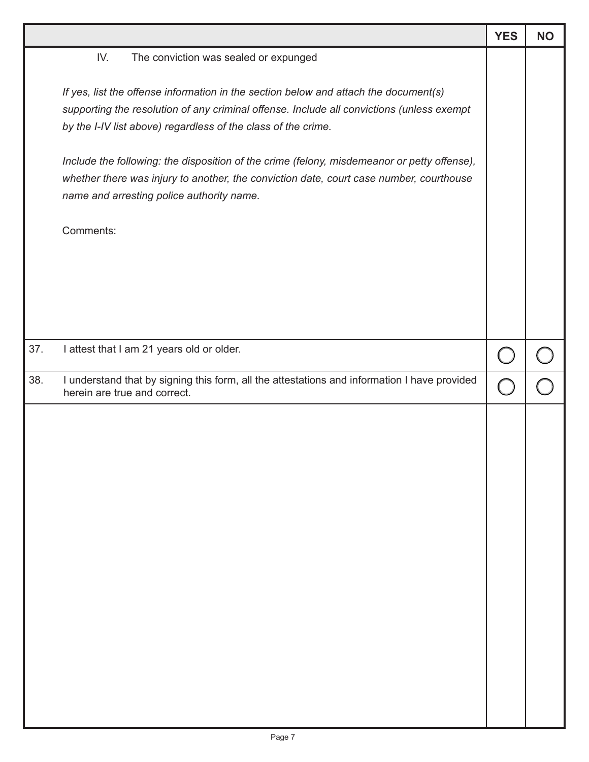|     |                                                                                                                                                                                                                                                                                                                                                                                                                                                                                                                                                        | <b>YES</b> | <b>NO</b> |
|-----|--------------------------------------------------------------------------------------------------------------------------------------------------------------------------------------------------------------------------------------------------------------------------------------------------------------------------------------------------------------------------------------------------------------------------------------------------------------------------------------------------------------------------------------------------------|------------|-----------|
|     | IV.<br>The conviction was sealed or expunged<br>If yes, list the offense information in the section below and attach the document(s)<br>supporting the resolution of any criminal offense. Include all convictions (unless exempt<br>by the I-IV list above) regardless of the class of the crime.<br>Include the following: the disposition of the crime (felony, misdemeanor or petty offense),<br>whether there was injury to another, the conviction date, court case number, courthouse<br>name and arresting police authority name.<br>Comments: |            |           |
| 37. | I attest that I am 21 years old or older.                                                                                                                                                                                                                                                                                                                                                                                                                                                                                                              |            |           |
| 38. | I understand that by signing this form, all the attestations and information I have provided<br>herein are true and correct.                                                                                                                                                                                                                                                                                                                                                                                                                           |            |           |
|     |                                                                                                                                                                                                                                                                                                                                                                                                                                                                                                                                                        |            |           |